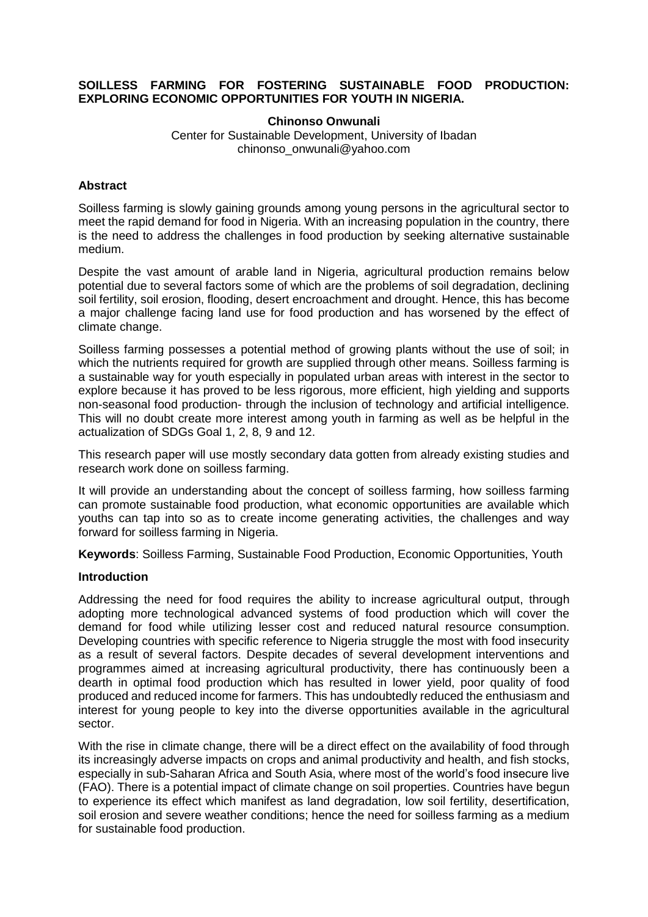### **SOILLESS FARMING FOR FOSTERING SUSTAINABLE FOOD PRODUCTION: EXPLORING ECONOMIC OPPORTUNITIES FOR YOUTH IN NIGERIA.**

**Chinonso Onwunali** Center for Sustainable Development, University of Ibadan chinonso\_onwunali@yahoo.com

# **Abstract**

Soilless farming is slowly gaining grounds among young persons in the agricultural sector to meet the rapid demand for food in Nigeria. With an increasing population in the country, there is the need to address the challenges in food production by seeking alternative sustainable medium.

Despite the vast amount of arable land in Nigeria, agricultural production remains below potential due to several factors some of which are the problems of soil degradation, declining soil fertility, soil erosion, flooding, desert encroachment and drought. Hence, this has become a major challenge facing land use for food production and has worsened by the effect of climate change.

Soilless farming possesses a potential method of growing plants without the use of soil; in which the nutrients required for growth are supplied through other means. Soilless farming is a sustainable way for youth especially in populated urban areas with interest in the sector to explore because it has proved to be less rigorous, more efficient, high yielding and supports non-seasonal food production- through the inclusion of technology and artificial intelligence. This will no doubt create more interest among youth in farming as well as be helpful in the actualization of SDGs Goal 1, 2, 8, 9 and 12.

This research paper will use mostly secondary data gotten from already existing studies and research work done on soilless farming.

It will provide an understanding about the concept of soilless farming, how soilless farming can promote sustainable food production, what economic opportunities are available which youths can tap into so as to create income generating activities, the challenges and way forward for soilless farming in Nigeria.

**Keywords**: Soilless Farming, Sustainable Food Production, Economic Opportunities, Youth

### **Introduction**

Addressing the need for food requires the ability to increase agricultural output, through adopting more technological advanced systems of food production which will cover the demand for food while utilizing lesser cost and reduced natural resource consumption. Developing countries with specific reference to Nigeria struggle the most with food insecurity as a result of several factors. Despite decades of several development interventions and programmes aimed at increasing agricultural productivity, there has continuously been a dearth in optimal food production which has resulted in lower yield, poor quality of food produced and reduced income for farmers. This has undoubtedly reduced the enthusiasm and interest for young people to key into the diverse opportunities available in the agricultural sector.

With the rise in climate change, there will be a direct effect on the availability of food through its increasingly adverse impacts on crops and animal productivity and health, and fish stocks, especially in sub-Saharan Africa and South Asia, where most of the world's food insecure live (FAO). There is a potential impact of climate change on soil properties. Countries have begun to experience its effect which manifest as land degradation, low soil fertility, desertification, soil erosion and severe weather conditions; hence the need for soilless farming as a medium for sustainable food production.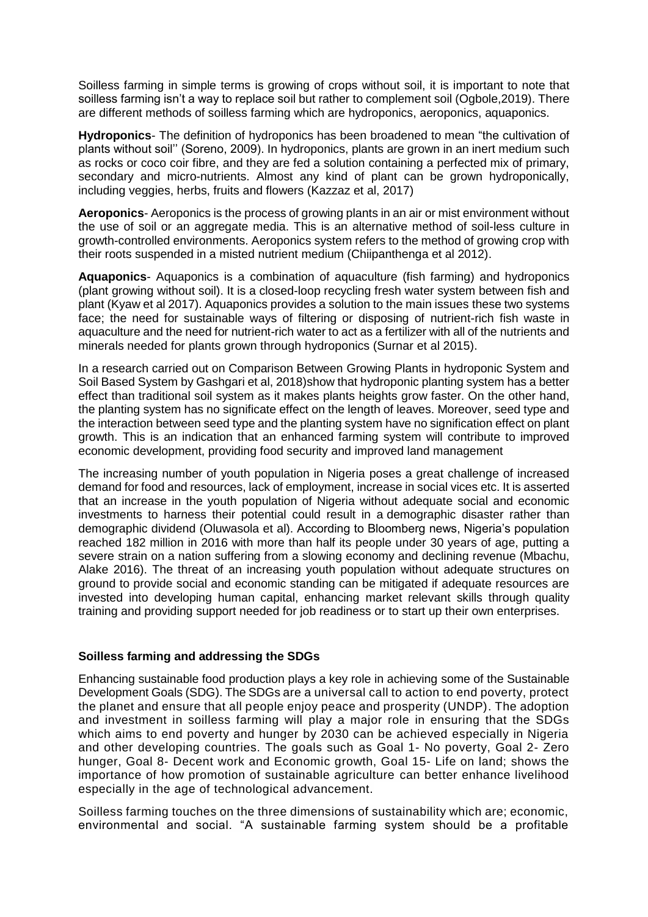Soilless farming in simple terms is growing of crops without soil, it is important to note that soilless farming isn't a way to replace soil but rather to complement soil (Ogbole,2019). There are different methods of soilless farming which are hydroponics, aeroponics, aquaponics.

**Hydroponics**- The definition of hydroponics has been broadened to mean "the cultivation of plants without soil'' (Soreno, 2009). In hydroponics, plants are grown in an inert medium such as rocks or coco coir fibre, and they are fed a solution containing a perfected mix of primary, secondary and micro-nutrients. Almost any kind of plant can be grown hydroponically, including veggies, herbs, fruits and flowers (Kazzaz et al, 2017)

**Aeroponics**- Aeroponics is the process of growing plants in an air or mist environment without the use of soil or an aggregate media. This is an alternative method of soil-less culture in growth-controlled environments. Aeroponics system refers to the method of growing crop with their roots suspended in a misted nutrient medium (Chiipanthenga et al 2012).

**Aquaponics**- Aquaponics is a combination of aquaculture (fish farming) and hydroponics (plant growing without soil). It is a closed-loop recycling fresh water system between fish and plant (Kyaw et al 2017). Aquaponics provides a solution to the main issues these two systems face; the need for sustainable ways of filtering or disposing of nutrient-rich fish waste in aquaculture and the need for nutrient-rich water to act as a fertilizer with all of the nutrients and minerals needed for plants grown through hydroponics (Surnar et al 2015).

In a research carried out on Comparison Between Growing Plants in hydroponic System and Soil Based System by Gashgari et al, 2018)show that hydroponic planting system has a better effect than traditional soil system as it makes plants heights grow faster. On the other hand, the planting system has no significate effect on the length of leaves. Moreover, seed type and the interaction between seed type and the planting system have no signification effect on plant growth. This is an indication that an enhanced farming system will contribute to improved economic development, providing food security and improved land management

The increasing number of youth population in Nigeria poses a great challenge of increased demand for food and resources, lack of employment, increase in social vices etc. It is asserted that an increase in the youth population of Nigeria without adequate social and economic investments to harness their potential could result in a [demographic](http://aps.journals.ac.za/pub/article/view/480) disaster rather than [demographic](http://aps.journals.ac.za/pub/article/view/480) dividend (Oluwasola et al). According to Bloomberg news, Nigeria's population reached 182 million in 2016 with more than half its people under 30 years of age, putting a severe strain on a nation suffering from a slowing economy and declining revenue (Mbachu, Alake 2016). The threat of an increasing youth population without adequate structures on ground to provide social and economic standing can be mitigated if adequate resources are invested into developing human capital, enhancing market relevant skills through quality training and providing support needed for job readiness or to start up their own enterprises.

# **Soilless farming and addressing the SDGs**

Enhancing sustainable food production plays a key role in achieving some of the Sustainable Development Goals (SDG). The SDGs are a universal call to action to end poverty, protect the planet and ensure that all people enjoy peace and prosperity (UNDP). The adoption and investment in soilless farming will play a major role in ensuring that the SDGs which aims to end poverty and hunger by 2030 can be achieved especially in Nigeria and other developing countries. The goals such as Goal 1- No poverty, Goal 2- Zero hunger, Goal 8- Decent work and Economic growth, Goal 15- Life on land; shows the importance of how promotion of sustainable agriculture can better enhance livelihood especially in the age of technological advancement.

Soilless farming touches on the three dimensions of sustainability which are; economic, environmental and social. "A sustainable farming system should be a profitable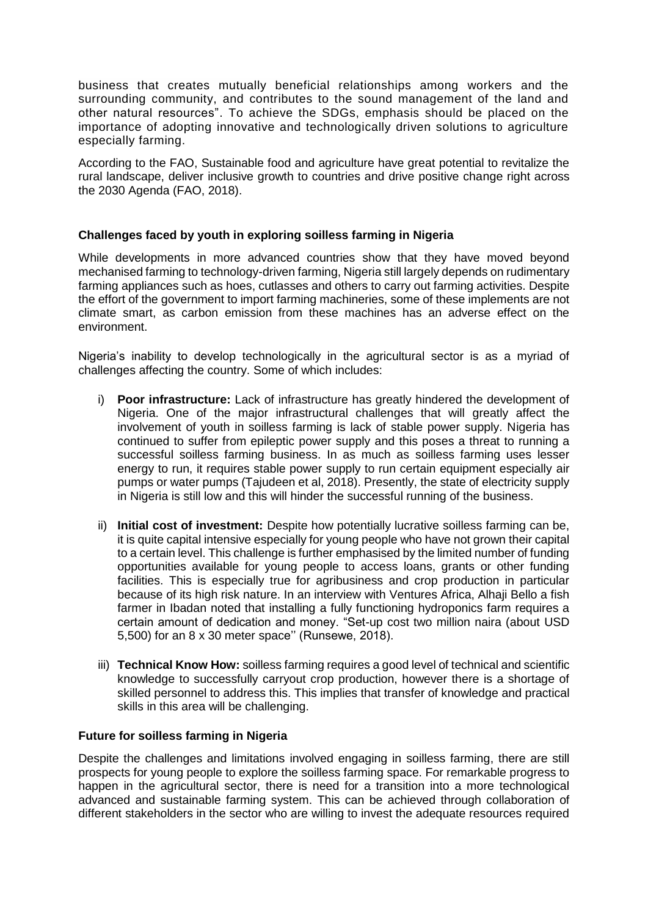business that creates mutually beneficial relationships among workers and the surrounding community, and contributes to the sound management of the land and other natural resources". To achieve the SDGs, emphasis should be placed on the importance of adopting innovative and technologically driven solutions to agriculture especially farming.

According to the FAO, Sustainable food and agriculture have great potential to revitalize the rural landscape, deliver inclusive growth to countries and drive positive change right across the 2030 Agenda (FAO, 2018).

# **Challenges faced by youth in exploring soilless farming in Nigeria**

While developments in more advanced countries show that they have moved beyond mechanised farming to technology-driven farming, Nigeria still largely depends on rudimentary farming appliances such as hoes, cutlasses and others to carry out farming activities. Despite the effort of the government to import farming machineries, some of these implements are not climate smart, as carbon emission from these machines has an adverse effect on the environment.

Nigeria's inability to develop technologically in the agricultural sector is as a myriad of challenges affecting the country. Some of which includes:

- i) **Poor infrastructure:** Lack of infrastructure has greatly hindered the development of Nigeria. One of the major infrastructural challenges that will greatly affect the involvement of youth in soilless farming is lack of stable power supply. Nigeria has continued to suffer from epileptic power supply and this poses a threat to running a successful soilless farming business. In as much as soilless farming uses lesser energy to run, it requires stable power supply to run certain equipment especially air pumps or water pumps (Tajudeen et al, 2018). Presently, the state of electricity supply in Nigeria is still low and this will hinder the successful running of the business.
- ii) **Initial cost of investment:** Despite how potentially lucrative soilless farming can be, it is quite capital intensive especially for young people who have not grown their capital to a certain level. This challenge is further emphasised by the limited number of funding opportunities available for young people to access loans, grants or other funding facilities. This is especially true for agribusiness and crop production in particular because of its high risk nature. In an interview with Ventures Africa, Alhaji Bello a fish farmer in Ibadan noted that installing a fully functioning hydroponics farm requires a certain amount of dedication and money. "Set-up cost two million naira (about USD 5,500) for an 8 x 30 meter space'' (Runsewe, 2018).
- iii) **Technical Know How:** soilless farming requires a good level of technical and scientific knowledge to successfully carryout crop production, however there is a shortage of skilled personnel to address this. This implies that transfer of knowledge and practical skills in this area will be challenging.

# **Future for soilless farming in Nigeria**

Despite the challenges and limitations involved engaging in soilless farming, there are still prospects for young people to explore the soilless farming space. For remarkable progress to happen in the agricultural sector, there is need for a transition into a more technological advanced and sustainable farming system. This can be achieved through collaboration of different stakeholders in the sector who are willing to invest the adequate resources required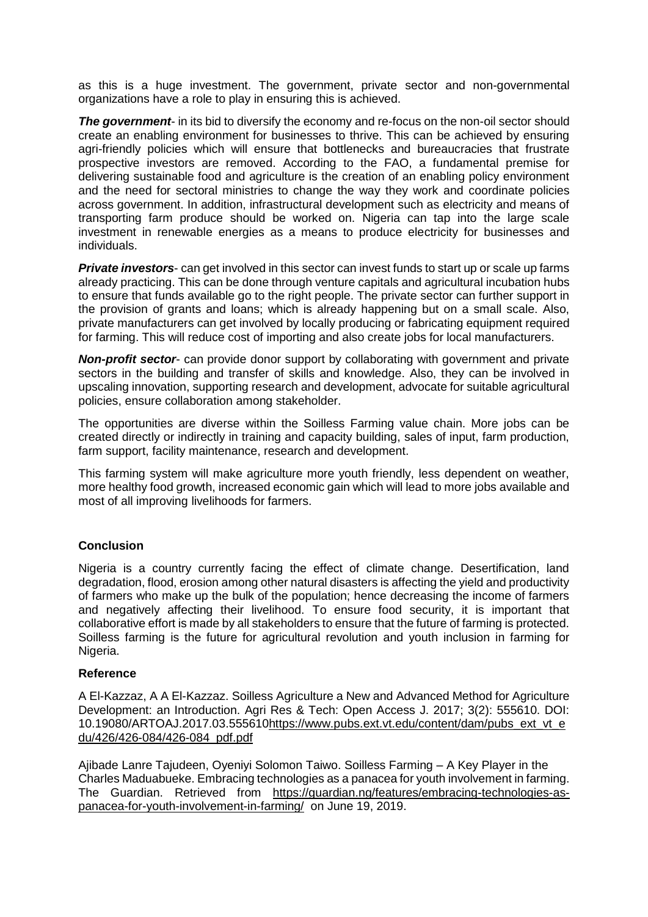as this is a huge investment. The government, private sector and non-governmental organizations have a role to play in ensuring this is achieved.

**The government-** in its bid to diversify the economy and re-focus on the non-oil sector should create an enabling environment for businesses to thrive. This can be achieved by ensuring agri-friendly policies which will ensure that bottlenecks and bureaucracies that frustrate prospective investors are removed. According to the FAO, a fundamental premise for delivering sustainable food and agriculture is the creation of an enabling policy environment and the need for sectoral ministries to change the way they work and coordinate policies across government. In addition, infrastructural development such as electricity and means of transporting farm produce should be worked on. Nigeria can tap into the large scale investment in renewable energies as a means to produce electricity for businesses and individuals.

*Private investors*- can get involved in this sector can invest funds to start up or scale up farms already practicing. This can be done through venture capitals and agricultural incubation hubs to ensure that funds available go to the right people. The private sector can further support in the provision of grants and loans; which is already happening but on a small scale. Also, private manufacturers can get involved by locally producing or fabricating equipment required for farming. This will reduce cost of importing and also create jobs for local manufacturers.

*Non-profit sector*- can provide donor support by collaborating with government and private sectors in the building and transfer of skills and knowledge. Also, they can be involved in upscaling innovation, supporting research and development, advocate for suitable agricultural policies, ensure collaboration among stakeholder.

The opportunities are diverse within the Soilless Farming value chain. More jobs can be created directly or indirectly in training and capacity building, sales of input, farm production, farm support, facility maintenance, research and development.

This farming system will make agriculture more youth friendly, less dependent on weather, more healthy food growth, increased economic gain which will lead to more jobs available and most of all improving livelihoods for farmers.

# **Conclusion**

Nigeria is a country currently facing the effect of climate change. Desertification, land degradation, flood, erosion among other natural disasters is affecting the yield and productivity of farmers who make up the bulk of the population; hence decreasing the income of farmers and negatively affecting their livelihood. To ensure food security, it is important that collaborative effort is made by all stakeholders to ensure that the future of farming is protected. Soilless farming is the future for agricultural revolution and youth inclusion in farming for Nigeria.

### **Reference**

A El-Kazzaz, A A El-Kazzaz. Soilless Agriculture a New and Advanced Method for Agriculture Development: an Introduction. Agri Res & Tech: Open Access J. 2017; 3(2): 555610. DOI: 10.19080/ARTOAJ.2017.03.55561[0https://www.pubs.ext.vt.edu/content/dam/pubs\\_ext\\_vt\\_e](https://www.pubs.ext.vt.edu/content/dam/pubs_ext_vt_edu/426/426-084/426-084_pdf.pdf) [du/426/426-084/426-084\\_pdf.pdf](https://www.pubs.ext.vt.edu/content/dam/pubs_ext_vt_edu/426/426-084/426-084_pdf.pdf)

Ajibade Lanre Tajudeen, Oyeniyi Solomon Taiwo. Soilless Farming – A Key Player in the Charles Maduabueke. Embracing technologies as a panacea for youth involvement in farming. The Guardian. Retrieved from [https://guardian.ng/features/embracing-technologies-as](https://guardian.ng/features/embracing-technologies-as-panacea-for-youth-involvement-in-farming/)[panacea-for-youth-involvement-in-farming/](https://guardian.ng/features/embracing-technologies-as-panacea-for-youth-involvement-in-farming/) on June 19, 2019.